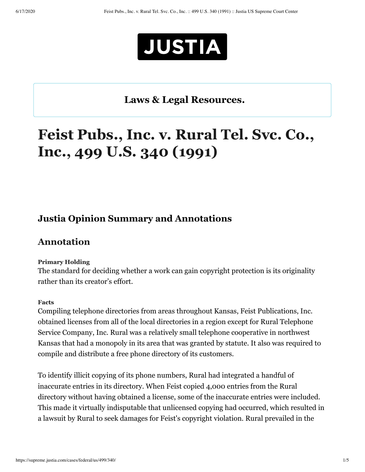

# **Laws & Legal [Resources.](https://www.justia.com/covid-19/)**

# **Feist Pubs., Inc. v. Rural Tel. Svc. Co., Inc., 499 U.S. 340 (1991)**

## **[Justia Opinion Summary and Annotations](https://daily.justia.com/)**

### **Annotation**

#### **Primary Holding**

The standard for deciding whether a work can gain copyright protection is its originality rather than its creator's effort.

#### **Facts**

Compiling telephone directories from areas throughout Kansas, Feist Publications, Inc. obtained licenses from all of the local directories in a region except for Rural Telephone Service Company, Inc. Rural was a relatively small telephone cooperative in northwest Kansas that had a monopoly in its area that was granted by statute. It also was required to compile and distribute a free phone directory of its customers.

To identify illicit copying of its phone numbers, Rural had integrated a handful of inaccurate entries in its directory. When Feist copied 4,000 entries from the Rural directory without having obtained a license, some of the inaccurate entries were included. This made it virtually indisputable that unlicensed copying had occurred, which resulted in a lawsuit by Rural to seek damages for Feist's copyright violation. Rural prevailed in the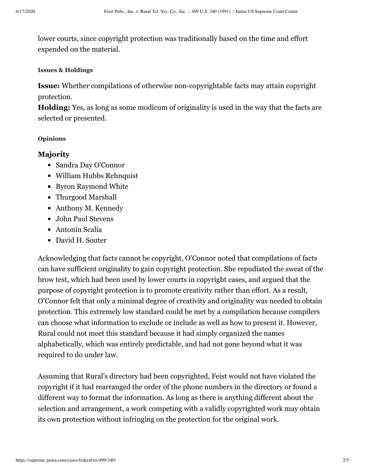lower courts, since copyright protection was traditionally based on the time and effort expended on the material.

#### **Issues & Holdings**

**Issue:** Whether compilations of otherwise non-copyrightable facts may attain copyright protection.

**Holding:** Yes, as long as some modicum of originality is used in the way that the facts are selected or presented.

#### **Opinions**

#### **Majority**

- Sandra Day O'Connor
- William Hubbs Rehnquist
- Byron Raymond White
- Thurgood Marshall
- Anthony M. Kennedy
- **John Paul Stevens**
- Antonin Scalia
- David H. Souter

Acknowledging that facts cannot be copyright, O'Connor noted that compilations of facts can have sufficient originality to gain copyright protection. She repudiated the sweat of the brow test, which had been used by lower courts in copyright cases, and argued that the purpose of copyright protection is to promote creativity rather than effort. As a result, O'Connor felt that only a minimal degree of creativity and originality was needed to obtain protection. This extremely low standard could be met by a compilation because compilers can choose what information to exclude or include as well as how to present it. However, Rural could not meet this standard because it had simply organized the names alphabetically, which was entirely predictable, and had not gone beyond what it was required to do under law.

Assuming that Rural's directory had been copyrighted, Feist would not have violated the copyright if it had rearranged the order of the phone numbers in the directory or found a different way to format the information. As long as there is anything different about the selection and arrangement, a work competing with a validly copyrighted work may obtain its own protection without infringing on the protection for the original work.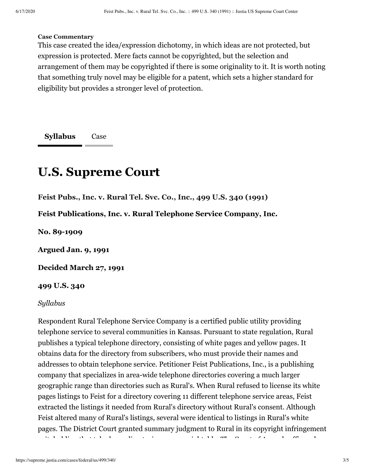#### **Case Commentary**

This case created the idea/expression dichotomy, in which ideas are not protected, but expression is protected. Mere facts cannot be copyrighted, but the selection and arrangement of them may be copyrighted if there is some originality to it. It is worth noting that something truly novel may be eligible for a patent, which sets a higher standard for eligibility but provides a stronger level of protection.

**[Syllabus](#page-2-0)** Case

# <span id="page-2-0"></span>**U.S. Supreme Court**

**Feist Pubs., Inc. v. Rural Tel. Svc. Co., Inc., 499 U.S. 340 (1991)**

**Feist Publications, Inc. v. Rural Telephone Service Company, Inc.**

**No. 89-1909**

**Argued Jan. 9, 1991**

**Decided March 27, 1991**

#### **499 U.S. 340**

#### *Syllabus*

Respondent Rural Telephone Service Company is a certified public utility providing telephone service to several communities in Kansas. Pursuant to state regulation, Rural publishes a typical telephone directory, consisting of white pages and yellow pages. It obtains data for the directory from subscribers, who must provide their names and addresses to obtain telephone service. Petitioner Feist Publications, Inc., is a publishing company that specializes in area-wide telephone directories covering a much larger geographic range than directories such as Rural's. When Rural refused to license its white pages listings to Feist for a directory covering 11 different telephone service areas, Feist extracted the listings it needed from Rural's directory without Rural's consent. Although Feist altered many of Rural's listings, several were identical to listings in Rural's white pages. The District Court granted summary judgment to Rural in its copyright infringement

it means that the the theorem that  $\alpha$  is  $\alpha$  that  $\alpha$  is the theorem th  $\alpha$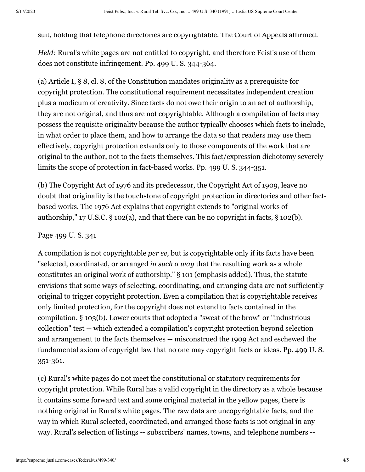suit, holding that telephone directories are copyrightable. The Court of Appeals affirmed.

*Held:* Rural's white pages are not entitled to copyright, and therefore Feist's use of them does not constitute infringement. Pp. [499 U. S. 344-](https://supreme.justia.com/cases/federal/us/499/340/case.html#344)364.

(a) Article I, § 8, cl. 8, of the Constitution mandates originality as a prerequisite for copyright protection. The constitutional requirement necessitates independent creation plus a modicum of creativity. Since facts do not owe their origin to an act of authorship, they are not original, and thus are not copyrightable. Although a compilation of facts may possess the requisite originality because the author typically chooses which facts to include, in what order to place them, and how to arrange the data so that readers may use them effectively, copyright protection extends only to those components of the work that are original to the author, not to the facts themselves. This fact/expression dichotomy severely limits the scope of protection in fact-based works. Pp. [499 U. S. 344-](https://supreme.justia.com/cases/federal/us/499/340/case.html#344)351.

(b) The Copyright Act of 1976 and its predecessor, the Copyright Act of 1909, leave no doubt that originality is the touchstone of copyright protection in directories and other factbased works. The 1976 Act explains that copyright extends to "original works of authorship," 17 U.S.C. § 102(a), and that there can be no copyright in facts, § 102(b).

#### Page 499 U. S. 341

A compilation is not copyrightable *per se,* but is copyrightable only if its facts have been "selected, coordinated, or arranged *in such a way* that the resulting work as a whole constitutes an original work of authorship." § 101 (emphasis added). Thus, the statute envisions that some ways of selecting, coordinating, and arranging data are not sufficiently original to trigger copyright protection. Even a compilation that is copyrightable receives only limited protection, for the copyright does not extend to facts contained in the compilation. § 103(b). Lower courts that adopted a "sweat of the brow" or "industrious collection" test -- which extended a compilation's copyright protection beyond selection and arrangement to the facts themselves -- misconstrued the 1909 Act and eschewed the [fundamental axiom of copyright law that no one may copyright facts or ideas. Pp. 499 U. S.](https://supreme.justia.com/cases/federal/us/499/340/case.html#351) 351-361.

(c) Rural's white pages do not meet the constitutional or statutory requirements for copyright protection. While Rural has a valid copyright in the directory as a whole because it contains some forward text and some original material in the yellow pages, there is nothing original in Rural's white pages. The raw data are uncopyrightable facts, and the way in which Rural selected, coordinated, and arranged those facts is not original in any way. Rural's selection of listings -- subscribers' names, towns, and telephone numbers --